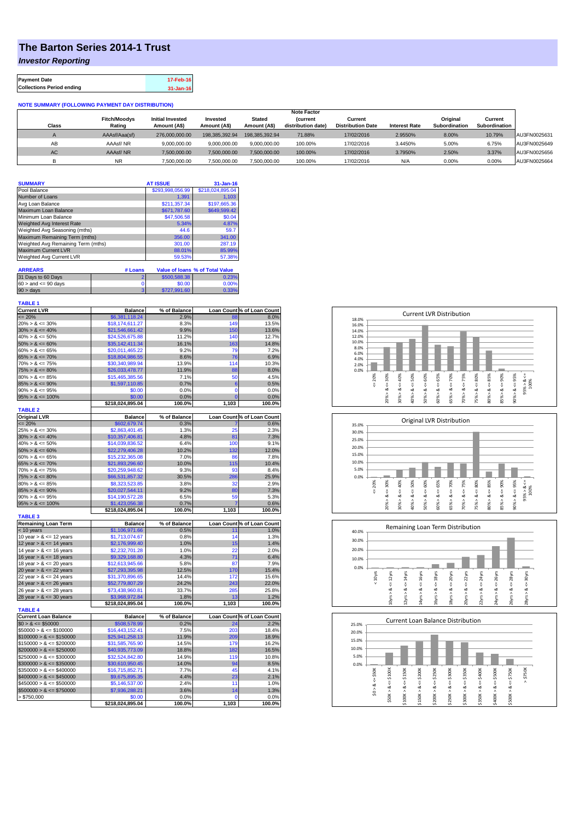## **The Barton Series 2014-1 Trust**

*Investor Reporting*

| <b>Payment Date</b>              | 17-Feb-16 |
|----------------------------------|-----------|
| <b>Collections Period ending</b> | 31-Jan-16 |

## **NOTE SUMMARY (FOLLOWING PAYMENT DAY DISTRIBUTION)**

|              |                     |                         |                |                | <b>Note Factor</b> |                          |                      |               |               |              |
|--------------|---------------------|-------------------------|----------------|----------------|--------------------|--------------------------|----------------------|---------------|---------------|--------------|
|              | <b>Fitch/Moodys</b> | <b>Initial Invested</b> | Invested       | Stated         | <b>Current</b>     | Current                  |                      | Original      | Current       |              |
| <b>Class</b> | Rating              | Amount (A\$)            | Amount (A\$)   | Amount (A\$)   | distribution date) | <b>Distribution Date</b> | <b>Interest Rate</b> | Subordination | Subordination |              |
|              | AAAsf/Aaa(sf)       | 276,000,000,00          | 198.385.392.94 | 198.385.392.94 | 71.88%             | 17/02/2016               | 2.9550%              | 8.00%         | 10.79%        | AU3FN0025631 |
| AB           | AAAsf/NR            | 9,000,000.00            | 9.000.000.00   | 9.000.000.00   | 100.00%            | 17/02/2016               | 3.4450%              | 5.00%         | 6.75%         | AU3FN0025649 |
| AC.          | AAAsf/NR            | 7,500,000.00            | 7.500.000.00   | 7.500.000.00   | 100.00%            | 17/02/2016               | 3.7950%              | 2.50%         | 3.37%         | AU3FN0025656 |
|              | <b>NR</b>           | ,500,000.00             | 7.500.000.00   | 7,500,000.00   | 100.00%            | 17/02/2016               | N/A                  | 0.00%         | 0.00%         | AU3FN0025664 |

| <b>SUMMARY</b>                     |         | <b>AT ISSUE</b>  | $31 - Jan-16$                          |
|------------------------------------|---------|------------------|----------------------------------------|
| Pool Balance                       |         | \$293,998,056.99 | \$218,024,895.04                       |
| Number of Loans                    |         | 1.391            | 1.103                                  |
| Avg Loan Balance                   |         | \$211.357.34     | \$197,665.36                           |
| Maximum Loan Balance               |         | \$671,787.60     | \$649,599.42                           |
| Minimum Loan Balance               |         | \$47,506.58      | \$0.04                                 |
| Weighted Avg Interest Rate         |         | 5.34%            | 4.87%                                  |
| Weighted Avg Seasoning (mths)      |         | 44.6             | 59.7                                   |
| Maximum Remaining Term (mths)      |         | 356.00           | 341.00                                 |
| Weighted Avg Remaining Term (mths) |         | 301.00           | 287.19                                 |
| <b>Maximum Current LVR</b>         |         | 88.01%           | 85.99%                                 |
| Weighted Avg Current LVR           |         | 59.53%           | 57.38%                                 |
|                                    |         |                  |                                        |
| <b>ARREARS</b>                     | # Loans |                  | <b>Value of loans % of Total Value</b> |
|                                    |         |                  |                                        |

| 31 Days to 60 Days        | \$500,588,38 | 0.23%    |
|---------------------------|--------------|----------|
| $60 >$ and $\leq 90$ days | \$0.00       | $0.00\%$ |
| $90 > \text{days}$        | \$727,991.60 | U 330Y   |

| <b>TABLE 1</b>              |                  |              |       |                            |
|-----------------------------|------------------|--------------|-------|----------------------------|
| <b>Current LVR</b>          | <b>Balance</b>   | % of Balance |       | Loan Count % of Loan Count |
| $= 20%$                     | \$6,381,118.24   | 2.9%         | 88    | 8.0%                       |
| $20\% > 8 \le 30\%$         | \$18,174,611.27  | 8.3%         | 149   | 13.5%                      |
| $30\% > 8 \le 40\%$         | \$21,546,661.42  | 9.9%         | 150   | 13.6%                      |
| $40\% > 8 \le 50\%$         | \$24,526,675.88  | 11.2%        | 140   | 12.7%                      |
| $50\% > 8 \le 60\%$         | \$35,142,411.34  | 16.1%        | 163   | 14.8%                      |
| $60\% > 8 \le 65\%$         | \$20,011,465.22  | 9.2%         | 79    | 7.2%                       |
| $65\% > 8 \le 70\%$         | \$18,804,986.55  | 8.6%         | 76    | 6.9%                       |
| $70\% > 8 \le 75\%$         | \$30,340,989.94  | 13.9%        | 114   | 10.3%                      |
| $75\% > 8 \le 80\%$         | \$26,033,478.77  | 11.9%        | 88    | 8.0%                       |
| $80\% > 8 \le 85\%$         | \$15,465,385.56  | 7.1%         | 50    | 4.5%                       |
| $85\% > 8 \le 90\%$         | \$1,597,110.85   | 0.7%         | 6     | 0.5%                       |
| $90\% > 8 \le 95\%$         | \$0.00           | 0.0%         | 0     | 0.0%                       |
| $95\% > 8 \le 100\%$        | \$0.00           | 0.0%         | Ō     | 0.0%                       |
|                             | \$218,024,895.04 | 100.0%       | 1,103 | 100.0%                     |
| <b>TABLE 2</b>              |                  |              |       |                            |
| <b>Original LVR</b>         | <b>Balance</b>   | % of Balance |       | Loan Count % of Loan Count |
| $= 20%$                     | \$602,679.74     | 0.3%         |       | 0.6%                       |
| $25\% > 8 \le 30\%$         | \$2,863,401.45   | 1.3%         | 25    | 2.3%                       |
| $30\% > 8 \le 40\%$         | \$10,357,406.81  | 4.8%         | 81    | 7.3%                       |
| $40\% > 8 \le 50\%$         | \$14.039.836.52  | 6.4%         | 100   | 9.1%                       |
| $50\% > 8 \le 60\%$         | \$22,279,406.28  | 10.2%        | 132   | 12.0%                      |
| $60\% > 8 \le 65\%$         | \$15,232,365.08  | 7.0%         | 86    | 7.8%                       |
| $65\% > 8 \le 70\%$         | \$21,893,296.60  | 10.0%        | 115   | 10.4%                      |
| $70\% > 8 \le 75\%$         | \$20,259,948.62  | 9.3%         | 93    | 8.4%                       |
| $75\% > 8 \le 80\%$         | \$66,531,857.32  | 30.5%        | 286   | 25.9%                      |
| $80\% > 8 \le 85\%$         | \$8,323,523.85   | 3.8%         | 32    | 2.9%                       |
| $85\% > 8 \le 90\%$         | \$20,027,544.11  | 9.2%         | 80    | 7.3%                       |
| $90\% > 8 \le 95\%$         | \$14,190,572.28  | 6.5%         | 59    | 5.3%                       |
| $95\% > 8 \le 100\%$        | \$1,423,056.38   | 0.7%         | 7     | 0.6%                       |
| <b>TABLE 3</b>              | \$218,024,895.04 | 100.0%       | 1,103 | 100.0%                     |
| <b>Remaining Loan Term</b>  | <b>Balance</b>   | % of Balance |       | Loan Count % of Loan Count |
| < 10 years                  | \$1,106,971.66   | 0.5%         | 11    | 1.0%                       |
| 10 year $> 8 \le 12$ years  | \$1,713,074.67   | 0.8%         | 14    | 1.3%                       |
| 12 year $> 8 \le 14$ years  | \$2,176,999.40   | 1.0%         | 15    | 1.4%                       |
| 14 year $> 8 \le 16$ years  | \$2,232,701.28   | 1.0%         | 22    | 2.0%                       |
| 16 year $> 8 \le 18$ years  | \$9,329,168.80   | 4.3%         | 71    | 6.4%                       |
| 18 year $> 8 \le 20$ years  | \$12.613.945.66  | 5.8%         | 87    | 7.9%                       |
| 20 year $> 8 \le 22$ years  | \$27,293,395.98  | 12.5%        | 170   | 15.4%                      |
| 22 year $> 8 \le 24$ years  | \$31,370,896.65  | 14.4%        | 172   | 15.6%                      |
| 24 year $> 8 \le 26$ years  | \$52,779,807.29  | 24.2%        | 243   | 22.0%                      |
| 26 year $> 8 \le 28$ years  | \$73,438,960.81  | 33.7%        | 285   | 25.8%                      |
| 28 year $> 8 \le 30$ years  | \$3,968,972.84   | 1.8%         | 13    | 1.2%                       |
|                             | \$218,024,895.04 | 100.0%       | 1,103 | 100.0%                     |
| <b>TABLE 4</b>              |                  |              |       |                            |
| <b>Current Loan Balance</b> | <b>Balance</b>   | % of Balance |       | Loan Count % of Loan Count |
| $$0 > 8 \leq $50000$        | \$508,578.99     | 0.2%         | 24    | 2.2%                       |
| $$50000 > 8 \le $100000$    | \$16,443,152.41  | 7.5%         | 203   | 18.4%                      |
| $$100000 > 8 \leq $150000$  | \$25,941,258.13  | 11.9%        | 209   | 18.9%                      |
| $$150000 > 8 \le $200000$   | \$31,585,765.90  | 14.5%        | 179   | 16.2%                      |
| $$200000 > 8 \leq $250000$  | \$40,935,773.09  | 18.8%        | 182   | 16.5%                      |
| $$250000 > 8 \leq $300000$  | \$32,524,842.80  | 14.9%        | 119   | 10.8%                      |
| $$300000 > 8 \leq $350000$  | \$30,610,950.45  | 14.0%        | 94    | 8.5%                       |
| $$350000 > 8 \leq $400000$  | \$16,715,852.71  | 7.7%         | 45    | 4.1%                       |
| $$400000 > 8 \leq $450000$  | \$9,675,895.35   | 4.4%         | 23    | 2.1%                       |
| $$450000 > 8 \le $500000$   | \$5,146,537.00   | 2.4%         | 11    | 1.0%                       |
| $$500000 > 8 \leq $750000$  | \$7,936,288.21   | 3.6%         | 14    | 1.3%                       |
| $>$ \$750,000               | \$0.00           | 0.0%         | 0     | 0.0%                       |
|                             | \$218,024,895.04 | 100.0%       | 1,103 | 100.0%                     |